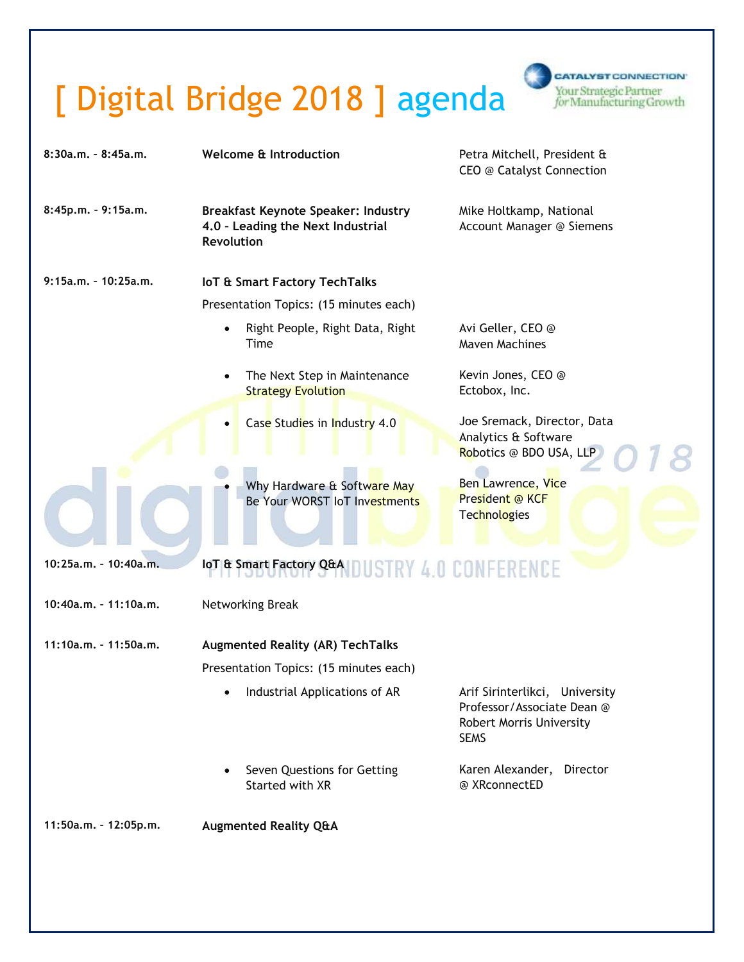## [ Digital Bridge 2018 ] agenda



| $8:30a.m. - 8:45a.m.$   | Welcome & Introduction                                                                               |                                                              | Petra Mitchell, President &<br>CEO @ Catalyst Connection                                                |
|-------------------------|------------------------------------------------------------------------------------------------------|--------------------------------------------------------------|---------------------------------------------------------------------------------------------------------|
| 8:45p.m. - 9:15a.m.     | <b>Breakfast Keynote Speaker: Industry</b><br>4.0 - Leading the Next Industrial<br><b>Revolution</b> |                                                              | Mike Holtkamp, National<br>Account Manager @ Siemens                                                    |
| $9:15a.m. - 10:25a.m.$  |                                                                                                      | <b>IoT &amp; Smart Factory TechTalks</b>                     |                                                                                                         |
|                         | Presentation Topics: (15 minutes each)                                                               |                                                              |                                                                                                         |
|                         | $\bullet$<br>Time                                                                                    | Right People, Right Data, Right                              | Avi Geller, CEO @<br><b>Maven Machines</b>                                                              |
|                         | $\bullet$                                                                                            | The Next Step in Maintenance<br><b>Strategy Evolution</b>    | Kevin Jones, CEO @<br>Ectobox, Inc.                                                                     |
|                         | $\bullet$                                                                                            | Case Studies in Industry 4.0                                 | Joe Sremack, Director, Data<br>Analytics & Software<br>Robotics @ BDO USA, LLP                          |
|                         |                                                                                                      | Why Hardware & Software May<br>Be Your WORST IoT Investments | Ben Lawrence, Vice<br>President @ KCF<br>Technologies                                                   |
| 10:25a.m. - 10:40a.m.   | IoT & Smart Factory Q&A DUSTRY 4.0 CONFERENCE                                                        |                                                              |                                                                                                         |
| 10:40a.m. - 11:10a.m.   | Networking Break                                                                                     |                                                              |                                                                                                         |
| $11:10a.m. - 11:50a.m.$ | <b>Augmented Reality (AR) TechTalks</b>                                                              |                                                              |                                                                                                         |
|                         | Presentation Topics: (15 minutes each)                                                               |                                                              |                                                                                                         |
|                         |                                                                                                      | Industrial Applications of AR                                | Arif Sirinterlikci, University<br>Professor/Associate Dean @<br>Robert Morris University<br><b>SEMS</b> |
|                         | $\bullet$                                                                                            | Seven Questions for Getting<br>Started with XR               | Karen Alexander, Director<br>@ XRconnectED                                                              |
| 11:50a.m. - 12:05p.m.   | <b>Augmented Reality Q&amp;A</b>                                                                     |                                                              |                                                                                                         |